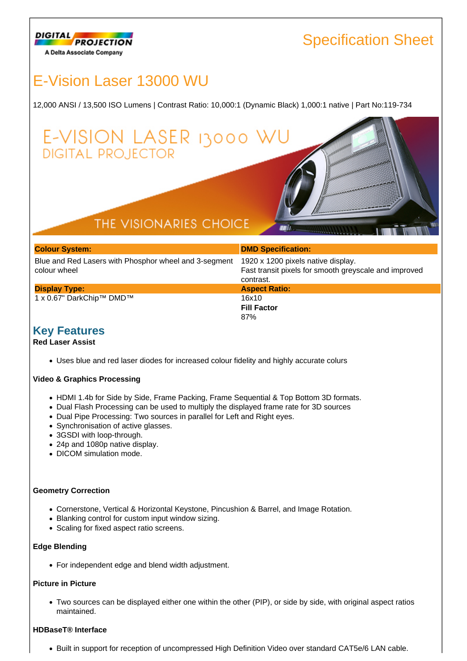

# E-Vision Laser 13000 WU

**DIGITAL PROJECTOR** 

12,000 ANSI / 13,500 ISO Lumens | Contrast Ratio: 10,000:1 (Dynamic Black) 1,000:1 native | Part No:119-734

# THE VISIONARIES CHOICE

E-VISION LASER 13000 W

| <b>Colour System:</b>                                                      | <b>DMD Specification:</b> |
|----------------------------------------------------------------------------|---------------------------|
| Blue and Red Lasers with Phosphor wheel and 3-segment 1920 x 1200 pixels n |                           |

colour wheel **Display Type:**

1 x 0.67" DarkChip™ DMD™

16x10 **Fill Factor** 87%

els native display. Fast transit pixels for smooth greyscale and improved contrast. **Aspect Ratio:**

## **Key Features**

#### **Red Laser Assist**

Uses blue and red laser diodes for increased colour fidelity and highly accurate colurs

#### **Video & Graphics Processing**

- HDMI 1.4b for Side by Side, Frame Packing, Frame Sequential & Top Bottom 3D formats.
- Dual Flash Processing can be used to multiply the displayed frame rate for 3D sources
- Dual Pipe Processing: Two sources in parallel for Left and Right eyes.
- Synchronisation of active glasses.
- 3GSDI with loop-through.
- 24p and 1080p native display.
- DICOM simulation mode.

#### **Geometry Correction**

- Cornerstone, Vertical & Horizontal Keystone, Pincushion & Barrel, and Image Rotation.
- Blanking control for custom input window sizing.
- Scaling for fixed aspect ratio screens.

#### **Edge Blending**

For independent edge and blend width adjustment.

#### **Picture in Picture**

Two sources can be displayed either one within the other (PIP), or side by side, with original aspect ratios maintained.

#### **HDBaseT® Interface**

Built in support for reception of uncompressed High Definition Video over standard CAT5e/6 LAN cable.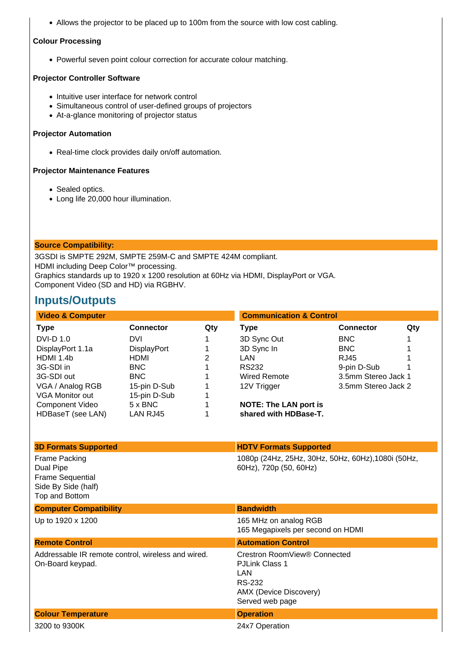Allows the projector to be placed up to 100m from the source with low cost cabling.

#### **Colour Processing**

Powerful seven point colour correction for accurate colour matching.

### **Projector Controller Software**

- Intuitive user interface for network control
- Simultaneous control of user-defined groups of projectors
- At-a-glance monitoring of projector status

#### **Projector Automation**

• Real-time clock provides daily on/off automation.

#### **Projector Maintenance Features**

- Sealed optics.
- Long life 20,000 hour illumination.

### **Source Compatibility:**

3GSDI is SMPTE 292M, SMPTE 259M-C and SMPTE 424M compliant. HDMI including Deep Color™ processing. Graphics standards up to 1920 x 1200 resolution at 60Hz via HDMI, DisplayPort or VGA. Component Video (SD and HD) via RGBHV.

## **Inputs/Outputs**

| <b>Video &amp; Computer</b> |                    |     | <b>Communication &amp; Control</b> |                     |     |
|-----------------------------|--------------------|-----|------------------------------------|---------------------|-----|
| Type                        | <b>Connector</b>   | Qty | Type                               | <b>Connector</b>    | Qty |
| <b>DVI-D 1.0</b>            | <b>DVI</b>         |     | 3D Sync Out                        | <b>BNC</b>          |     |
| DisplayPort 1.1a            | <b>DisplayPort</b> |     | 3D Sync In                         | BNC                 |     |
| HDMI 1.4b                   | <b>HDMI</b>        | 2   | LAN.                               | RJ45                |     |
| 3G-SDI in                   | BNC.               |     | RS232                              | 9-pin D-Sub         |     |
| 3G-SDI out                  | BNC.               |     | <b>Wired Remote</b>                | 3.5mm Stereo Jack 1 |     |
| VGA / Analog RGB            | 15-pin D-Sub       |     | 12V Trigger                        | 3.5mm Stereo Jack 2 |     |
| VGA Monitor out             | 15-pin D-Sub       |     |                                    |                     |     |
| Component Video             | $5 \times BNC$     |     | <b>NOTE: The LAN port is</b>       |                     |     |
| HDBaseT (see LAN)           | LAN RJ45           |     | shared with HDBase-T.              |                     |     |

| <b>3D Formats Supported</b>                                                                           | <b>HDTV Formats Supported</b>                                                                                              |
|-------------------------------------------------------------------------------------------------------|----------------------------------------------------------------------------------------------------------------------------|
| <b>Frame Packing</b><br>Dual Pipe<br><b>Frame Sequential</b><br>Side By Side (half)<br>Top and Bottom | 1080p (24Hz, 25Hz, 30Hz, 50Hz, 60Hz), 1080i (50Hz,<br>60Hz), 720p (50, 60Hz)                                               |
| <b>Computer Compatibility</b>                                                                         | <b>Bandwidth</b>                                                                                                           |
| Up to 1920 x 1200                                                                                     | 165 MHz on analog RGB<br>165 Megapixels per second on HDMI                                                                 |
| <b>Remote Control</b>                                                                                 | <b>Automation Control</b>                                                                                                  |
|                                                                                                       |                                                                                                                            |
| Addressable IR remote control, wireless and wired.<br>On-Board keypad.                                | Crestron RoomView® Connected<br><b>PJLink Class 1</b><br><b>LAN</b><br>RS-232<br>AMX (Device Discovery)<br>Served web page |
| <b>Colour Temperature</b>                                                                             | <b>Operation</b>                                                                                                           |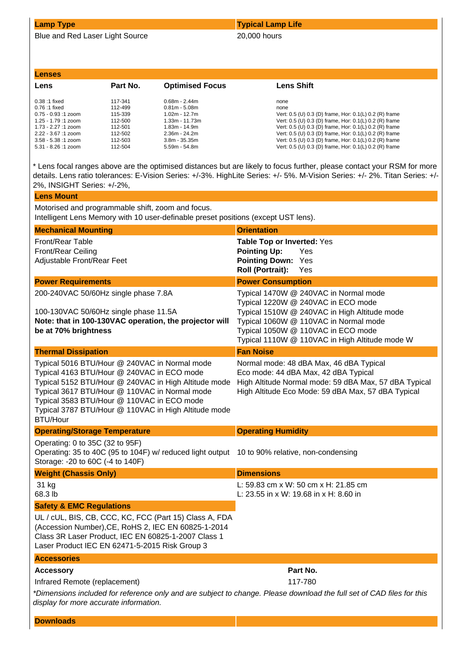Blue and Red Laser Light Source 20,000 hours

### **Lamp Type Typical Lamp Life**

#### **Lenses**

| ---------               |          |                        |                                                        |
|-------------------------|----------|------------------------|--------------------------------------------------------|
| Lens                    | Part No. | <b>Optimised Focus</b> | <b>Lens Shift</b>                                      |
| $0.38:1$ fixed          | 117-341  | $0.68m - 2.44m$        | none                                                   |
| 0.76 :1 fixed           | 112-499  | $0.81m - 5.08m$        | none                                                   |
| $0.75 - 0.93:1$ zoom    | 115-339  | $1.02m - 12.7m$        | Vert: 0.5 (U) 0.3 (D) frame, Hor: 0.1(L) 0.2 (R) frame |
| $1.25 - 1.79 : 1 z$ oom | 112-500  | $1.33m - 11.73m$       | Vert: 0.5 (U) 0.3 (D) frame, Hor: 0.1(L) 0.2 (R) frame |
| $1.73 - 2.27 : 1 z$ oom | 112-501  | $1.83m - 14.9m$        | Vert: 0.5 (U) 0.3 (D) frame, Hor: 0.1(L) 0.2 (R) frame |
| $2.22 - 3.67 : 1 z$ oom | 112-502  | $2.36m - 24.2m$        | Vert: 0.5 (U) 0.3 (D) frame, Hor: 0.1(L) 0.2 (R) frame |
| $3.58 - 5.38 : 1 zoom$  | 112-503  | $3.8m - 35.35m$        | Vert: 0.5 (U) 0.3 (D) frame, Hor: 0.1(L) 0.2 (R) frame |
| $5.31 - 8.26:1$ zoom    | 112-504  | 5.59m - 54.8m          | Vert: 0.5 (U) 0.3 (D) frame, Hor: 0.1(L) 0.2 (R) frame |

\* Lens focal ranges above are the optimised distances but are likely to focus further, please contact your RSM for more details. Lens ratio tolerances: E-Vision Series: +/-3%. HighLite Series: +/- 5%. M-Vision Series: +/- 2%. Titan Series: +/- 2%, INSIGHT Series: +/-2%,

| <b>Lens Mount</b>                                                                                                                                                                                                                                                                                                             |                                                                                                                                                                                                                                                              |
|-------------------------------------------------------------------------------------------------------------------------------------------------------------------------------------------------------------------------------------------------------------------------------------------------------------------------------|--------------------------------------------------------------------------------------------------------------------------------------------------------------------------------------------------------------------------------------------------------------|
| Motorised and programmable shift, zoom and focus.<br>Intelligent Lens Memory with 10 user-definable preset positions (except UST lens).                                                                                                                                                                                       |                                                                                                                                                                                                                                                              |
| <b>Mechanical Mounting</b>                                                                                                                                                                                                                                                                                                    | <b>Orientation</b>                                                                                                                                                                                                                                           |
| Front/Rear Table<br>Front/Rear Ceiling<br>Adjustable Front/Rear Feet                                                                                                                                                                                                                                                          | Table Top or Inverted: Yes<br><b>Pointing Up:</b><br>Yes<br>Pointing Down: Yes<br>Roll (Portrait):<br>Yes                                                                                                                                                    |
| <b>Power Requirements</b>                                                                                                                                                                                                                                                                                                     | <b>Power Consumption</b>                                                                                                                                                                                                                                     |
| 200-240VAC 50/60Hz single phase 7.8A<br>100-130VAC 50/60Hz single phase 11.5A<br>Note: that in 100-130VAC operation, the projector will<br>be at 70% brightness                                                                                                                                                               | Typical 1470W @ 240VAC in Normal mode<br>Typical 1220W @ 240VAC in ECO mode<br>Typical 1510W @ 240VAC in High Altitude mode<br>Typical 1060W @ 110VAC in Normal mode<br>Typical 1050W @ 110VAC in ECO mode<br>Typical 1110W @ 110VAC in High Altitude mode W |
| <b>Thermal Dissipation</b>                                                                                                                                                                                                                                                                                                    | <b>Fan Noise</b>                                                                                                                                                                                                                                             |
| Typical 5016 BTU/Hour @ 240VAC in Normal mode<br>Typical 4163 BTU/Hour @ 240VAC in ECO mode<br>Typical 5152 BTU/Hour @ 240VAC in High Altitude mode<br>Typical 3617 BTU/Hour @ 110VAC in Normal mode<br>Typical 3583 BTU/Hour @ 110VAC in ECO mode<br>Typical 3787 BTU/Hour @ 110VAC in High Altitude mode<br><b>BTU/Hour</b> | Normal mode: 48 dBA Max, 46 dBA Typical<br>Eco mode: 44 dBA Max, 42 dBA Typical<br>High Altitude Normal mode: 59 dBA Max, 57 dBA Typical<br>High Altitude Eco Mode: 59 dBA Max, 57 dBA Typical                                                               |
| <b>Operating/Storage Temperature</b>                                                                                                                                                                                                                                                                                          | <b>Operating Humidity</b>                                                                                                                                                                                                                                    |
| Operating: 0 to 35C (32 to 95F)<br>Operating: 35 to 40C (95 to 104F) w/ reduced light output 10 to 90% relative, non-condensing<br>Storage: -20 to 60C (-4 to 140F)                                                                                                                                                           |                                                                                                                                                                                                                                                              |
| <b>Weight (Chassis Only)</b>                                                                                                                                                                                                                                                                                                  | <b>Dimensions</b>                                                                                                                                                                                                                                            |
| 31 kg<br>68.3 lb                                                                                                                                                                                                                                                                                                              | L: 59.83 cm x W: 50 cm x H: 21.85 cm<br>L: 23.55 in x W: 19.68 in x H: 8.60 in                                                                                                                                                                               |
| <b>Safety &amp; EMC Regulations</b>                                                                                                                                                                                                                                                                                           |                                                                                                                                                                                                                                                              |
| UL / cUL, BIS, CB, CCC, KC, FCC (Part 15) Class A, FDA<br>(Accession Number), CE, RoHS 2, IEC EN 60825-1-2014<br>Class 3R Laser Product, IEC EN 60825-1-2007 Class 1<br>Laser Product IEC EN 62471-5-2015 Risk Group 3                                                                                                        |                                                                                                                                                                                                                                                              |
| <b>Accessories</b>                                                                                                                                                                                                                                                                                                            |                                                                                                                                                                                                                                                              |
| <b>Accessory</b><br>Infrared Remote (replacement)<br>*Dimensions included for reference only and are subject to change. Please download the full set of CAD files for this<br>display for more accurate information.                                                                                                          | Part No.<br>117-780                                                                                                                                                                                                                                          |
| <b>Downloads</b>                                                                                                                                                                                                                                                                                                              |                                                                                                                                                                                                                                                              |
|                                                                                                                                                                                                                                                                                                                               |                                                                                                                                                                                                                                                              |